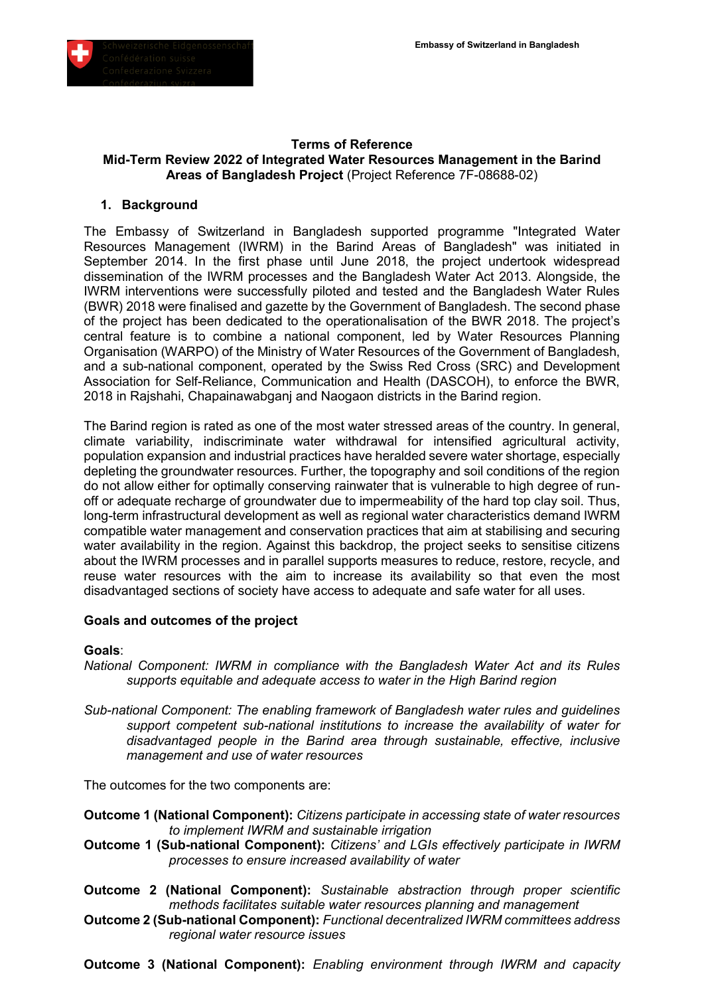

#### **Terms of Reference Mid-Term Review 2022 of Integrated Water Resources Management in the Barind Areas of Bangladesh Project** (Project Reference 7F-08688-02)

### **1. Background**

The Embassy of Switzerland in Bangladesh supported programme "Integrated Water Resources Management (IWRM) in the Barind Areas of Bangladesh" was initiated in September 2014. In the first phase until June 2018, the project undertook widespread dissemination of the IWRM processes and the Bangladesh Water Act 2013. Alongside, the IWRM interventions were successfully piloted and tested and the Bangladesh Water Rules (BWR) 2018 were finalised and gazette by the Government of Bangladesh. The second phase of the project has been dedicated to the operationalisation of the BWR 2018. The project's central feature is to combine a national component, led by Water Resources Planning Organisation (WARPO) of the Ministry of Water Resources of the Government of Bangladesh, and a sub-national component, operated by the Swiss Red Cross (SRC) and Development Association for Self-Reliance, Communication and Health (DASCOH), to enforce the BWR, 2018 in Rajshahi, Chapainawabganj and Naogaon districts in the Barind region.

The Barind region is rated as one of the most water stressed areas of the country. In general, climate variability, indiscriminate water withdrawal for intensified agricultural activity, population expansion and industrial practices have heralded severe water shortage, especially depleting the groundwater resources. Further, the topography and soil conditions of the region do not allow either for optimally conserving rainwater that is vulnerable to high degree of runoff or adequate recharge of groundwater due to impermeability of the hard top clay soil. Thus, long-term infrastructural development as well as regional water characteristics demand IWRM compatible water management and conservation practices that aim at stabilising and securing water availability in the region. Against this backdrop, the project seeks to sensitise citizens about the IWRM processes and in parallel supports measures to reduce, restore, recycle, and reuse water resources with the aim to increase its availability so that even the most disadvantaged sections of society have access to adequate and safe water for all uses.

#### **Goals and outcomes of the project**

#### **Goals**:

- *National Component: IWRM in compliance with the Bangladesh Water Act and its Rules supports equitable and adequate access to water in the High Barind region*
- *Sub-national Component: The enabling framework of Bangladesh water rules and guidelines support competent sub-national institutions to increase the availability of water for disadvantaged people in the Barind area through sustainable, effective, inclusive management and use of water resources*

The outcomes for the two components are:

**Outcome 1 (National Component):** *Citizens participate in accessing state of water resources to implement IWRM and sustainable irrigation* 

- **Outcome 1 (Sub-national Component):** *Citizens' and LGIs effectively participate in IWRM processes to ensure increased availability of water*
- **Outcome 2 (National Component):** *Sustainable abstraction through proper scientific methods facilitates suitable water resources planning and management*
- **Outcome 2 (Sub-national Component):** *Functional decentralized IWRM committees address regional water resource issues*
- **Outcome 3 (National Component):** *Enabling environment through IWRM and capacity*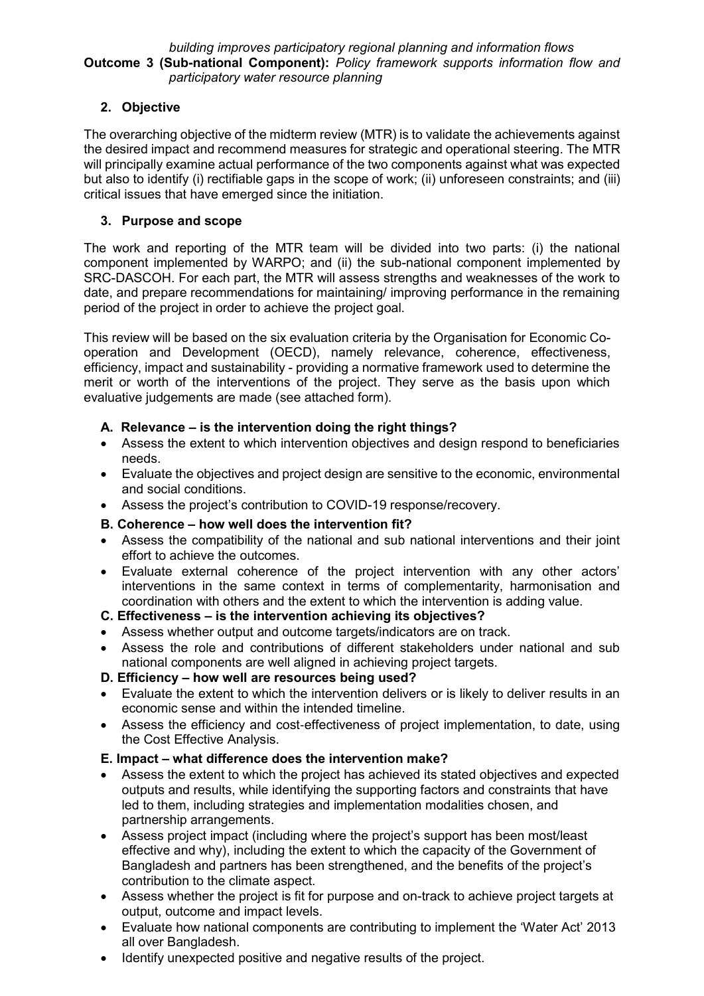### *building improves participatory regional planning and information flows* **Outcome 3 (Sub-national Component):** *Policy framework supports information flow and participatory water resource planning*

## **2. Objective**

The overarching objective of the midterm review (MTR) is to validate the achievements against the desired impact and recommend measures for strategic and operational steering. The MTR will principally examine actual performance of the two components against what was expected but also to identify (i) rectifiable gaps in the scope of work; (ii) unforeseen constraints; and (iii) critical issues that have emerged since the initiation.

## **3. Purpose and scope**

The work and reporting of the MTR team will be divided into two parts: (i) the national component implemented by WARPO; and (ii) the sub-national component implemented by SRC-DASCOH. For each part, the MTR will assess strengths and weaknesses of the work to date, and prepare recommendations for maintaining/ improving performance in the remaining period of the project in order to achieve the project goal.

This review will be based on the six evaluation criteria by the Organisation for Economic Cooperation and Development (OECD), namely relevance, coherence, effectiveness, efficiency, impact and sustainability - providing a normative framework used to determine the merit or worth of the interventions of the project. They serve as the basis upon which evaluative judgements are made (see attached form).

## **A. Relevance – is the intervention doing the right things?**

- Assess the extent to which intervention objectives and design respond to beneficiaries needs.
- Evaluate the objectives and project design are sensitive to the economic, environmental and social conditions.
- Assess the project's contribution to COVID-19 response/recovery.

## **B. Coherence – how well does the intervention fit?**

- Assess the compatibility of the national and sub national interventions and their joint effort to achieve the outcomes.
- Evaluate external coherence of the project intervention with any other actors' interventions in the same context in terms of complementarity, harmonisation and coordination with others and the extent to which the intervention is adding value.

## **C. Effectiveness – is the intervention achieving its objectives?**

- Assess whether output and outcome targets/indicators are on track.
- Assess the role and contributions of different stakeholders under national and sub national components are well aligned in achieving project targets.

## **D. Efficiency – how well are resources being used?**

- Evaluate the extent to which the intervention delivers or is likely to deliver results in an economic sense and within the intended timeline.
- Assess the efficiency and cost‐effectiveness of project implementation, to date, using the Cost Effective Analysis.

## **E. Impact – what difference does the intervention make?**

- Assess the extent to which the project has achieved its stated objectives and expected outputs and results, while identifying the supporting factors and constraints that have led to them, including strategies and implementation modalities chosen, and partnership arrangements.
- Assess project impact (including where the project's support has been most/least effective and why), including the extent to which the capacity of the Government of Bangladesh and partners has been strengthened, and the benefits of the project's contribution to the climate aspect.
- Assess whether the project is fit for purpose and on-track to achieve project targets at output, outcome and impact levels.
- Evaluate how national components are contributing to implement the 'Water Act' 2013 all over Bangladesh.
- Identify unexpected positive and negative results of the project.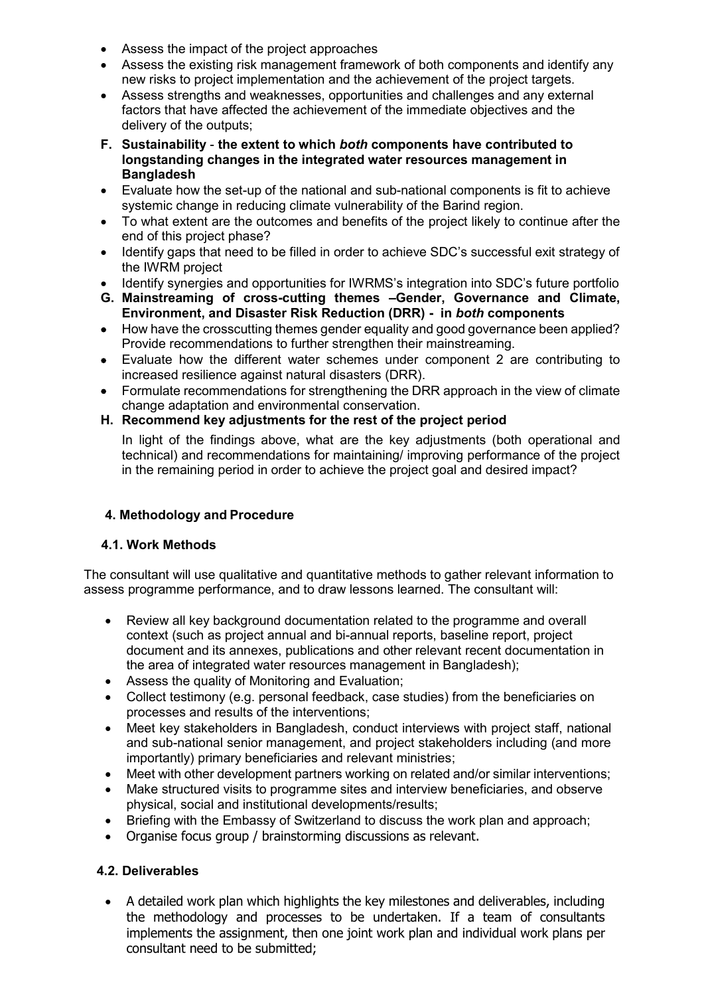- Assess the impact of the project approaches
- Assess the existing risk management framework of both components and identify any new risks to project implementation and the achievement of the project targets.
- Assess strengths and weaknesses, opportunities and challenges and any external factors that have affected the achievement of the immediate objectives and the delivery of the outputs;
- **F. Sustainability the extent to which** *both* **components have contributed to longstanding changes in the integrated water resources management in Bangladesh**
- Evaluate how the set-up of the national and sub-national components is fit to achieve systemic change in reducing climate vulnerability of the Barind region.
- To what extent are the outcomes and benefits of the project likely to continue after the end of this project phase?
- Identify gaps that need to be filled in order to achieve SDC's successful exit strategy of the IWRM project
- Identify synergies and opportunities for IWRMS's integration into SDC's future portfolio
- **G. Mainstreaming of cross-cutting themes –Gender, Governance and Climate, Environment, and Disaster Risk Reduction (DRR) - in** *both* **components**
- How have the crosscutting themes gender equality and good governance been applied? Provide recommendations to further strengthen their mainstreaming.
- Evaluate how the different water schemes under component 2 are contributing to increased resilience against natural disasters (DRR).
- Formulate recommendations for strengthening the DRR approach in the view of climate change adaptation and environmental conservation.
- **H. Recommend key adjustments for the rest of the project period**

In light of the findings above, what are the key adjustments (both operational and technical) and recommendations for maintaining/ improving performance of the project in the remaining period in order to achieve the project goal and desired impact?

# **4. Methodology and Procedure**

## **4.1. Work Methods**

The consultant will use qualitative and quantitative methods to gather relevant information to assess programme performance, and to draw lessons learned. The consultant will:

- Review all key background documentation related to the programme and overall context (such as project annual and bi-annual reports, baseline report, project document and its annexes, publications and other relevant recent documentation in the area of integrated water resources management in Bangladesh);
- Assess the quality of Monitoring and Evaluation;
- Collect testimony (e.g. personal feedback, case studies) from the beneficiaries on processes and results of the interventions;
- Meet key stakeholders in Bangladesh, conduct interviews with project staff, national and sub-national senior management, and project stakeholders including (and more importantly) primary beneficiaries and relevant ministries;
- Meet with other development partners working on related and/or similar interventions;
- Make structured visits to programme sites and interview beneficiaries, and observe physical, social and institutional developments/results;
- Briefing with the Embassy of Switzerland to discuss the work plan and approach;
- Organise focus group / brainstorming discussions as relevant.

# **4.2. Deliverables**

 A detailed work plan which highlights the key milestones and deliverables, including the methodology and processes to be undertaken. If a team of consultants implements the assignment, then one joint work plan and individual work plans per consultant need to be submitted;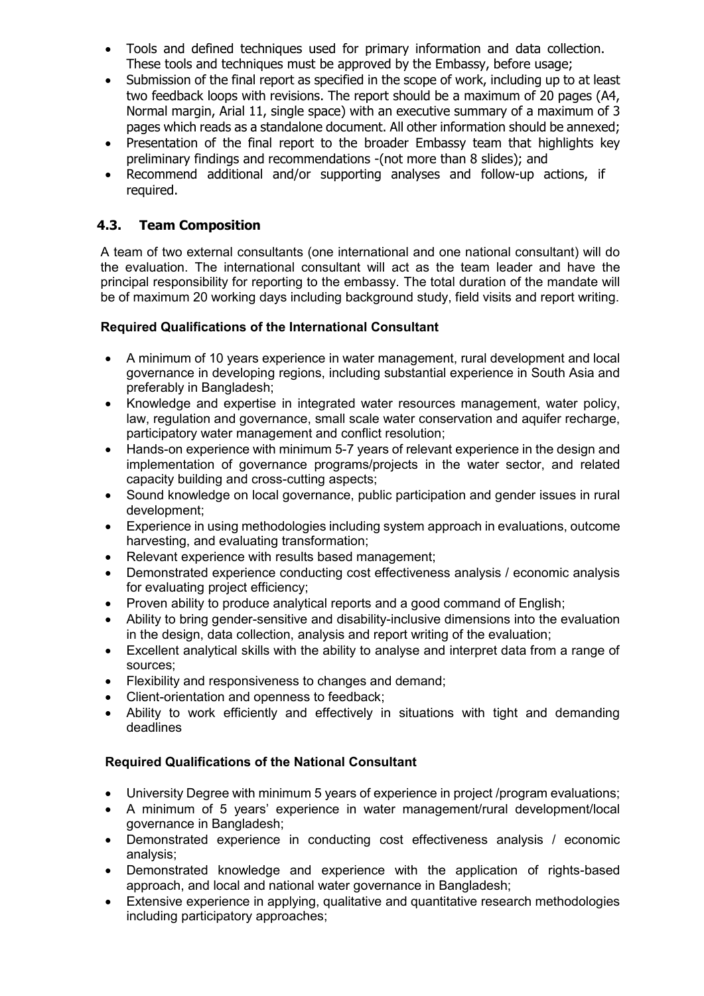- Tools and defined techniques used for primary information and data collection. These tools and techniques must be approved by the Embassy, before usage;
- Submission of the final report as specified in the scope of work, including up to at least two feedback loops with revisions. The report should be a maximum of 20 pages (A4, Normal margin, Arial 11, single space) with an executive summary of a maximum of 3 pages which reads as a standalone document. All other information should be annexed;
- Presentation of the final report to the broader Embassy team that highlights key preliminary findings and recommendations -(not more than 8 slides); and
- Recommend additional and/or supporting analyses and follow-up actions, if required.

## **4.3. Team Composition**

A team of two external consultants (one international and one national consultant) will do the evaluation. The international consultant will act as the team leader and have the principal responsibility for reporting to the embassy. The total duration of the mandate will be of maximum 20 working days including background study, field visits and report writing.

## **Required Qualifications of the International Consultant**

- A minimum of 10 years experience in water management, rural development and local governance in developing regions, including substantial experience in South Asia and preferably in Bangladesh;
- Knowledge and expertise in integrated water resources management, water policy, law, regulation and governance, small scale water conservation and aquifer recharge, participatory water management and conflict resolution;
- Hands-on experience with minimum 5-7 years of relevant experience in the design and implementation of governance programs/projects in the water sector, and related capacity building and cross-cutting aspects;
- Sound knowledge on local governance, public participation and gender issues in rural development;
- Experience in using methodologies including system approach in evaluations, outcome harvesting, and evaluating transformation;
- Relevant experience with results based management;
- Demonstrated experience conducting cost effectiveness analysis / economic analysis for evaluating project efficiency;
- Proven ability to produce analytical reports and a good command of English;
- Ability to bring gender-sensitive and disability-inclusive dimensions into the evaluation in the design, data collection, analysis and report writing of the evaluation;
- Excellent analytical skills with the ability to analyse and interpret data from a range of sources;
- Flexibility and responsiveness to changes and demand;
- Client-orientation and openness to feedback:
- Ability to work efficiently and effectively in situations with tight and demanding deadlines

## **Required Qualifications of the National Consultant**

- University Degree with minimum 5 years of experience in project /program evaluations;
- A minimum of 5 years' experience in water management/rural development/local governance in Bangladesh;
- Demonstrated experience in conducting cost effectiveness analysis / economic analysis;
- Demonstrated knowledge and experience with the application of rights-based approach, and local and national water governance in Bangladesh;
- Extensive experience in applying, qualitative and quantitative research methodologies including participatory approaches;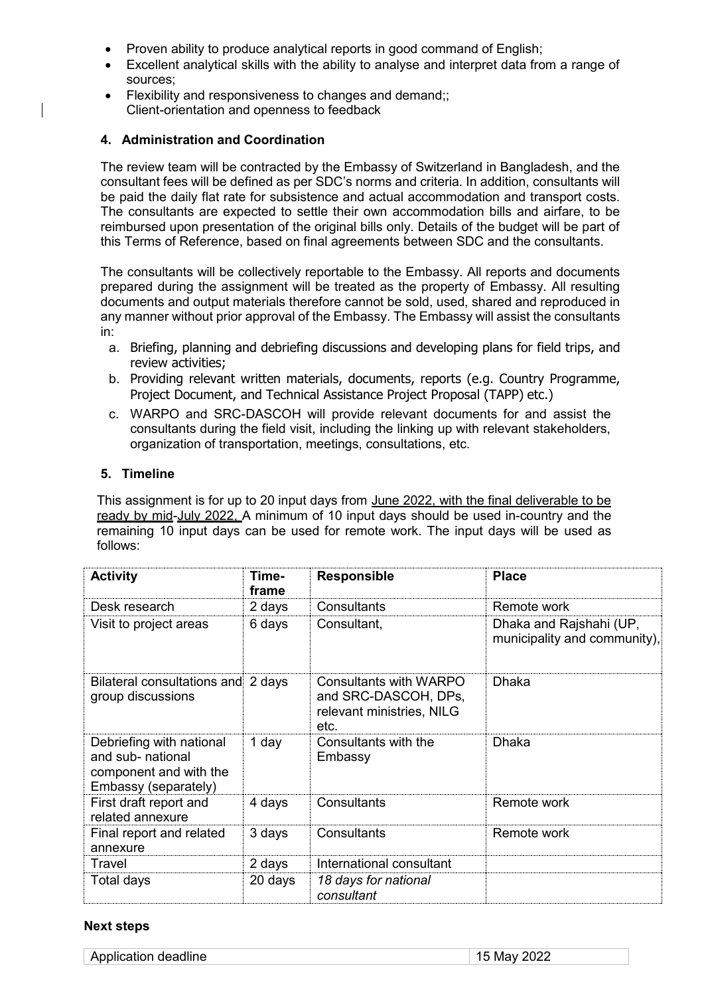- Proven ability to produce analytical reports in good command of English;
- Excellent analytical skills with the ability to analyse and interpret data from a range of sources;
- Flexibility and responsiveness to changes and demand;; Client-orientation and openness to feedback

### **4. Administration and Coordination**

The review team will be contracted by the Embassy of Switzerland in Bangladesh, and the consultant fees will be defined as per SDC's norms and criteria. In addition, consultants will be paid the daily flat rate for subsistence and actual accommodation and transport costs. The consultants are expected to settle their own accommodation bills and airfare, to be reimbursed upon presentation of the original bills only. Details of the budget will be part of this Terms of Reference, based on final agreements between SDC and the consultants.

The consultants will be collectively reportable to the Embassy. All reports and documents prepared during the assignment will be treated as the property of Embassy. All resulting documents and output materials therefore cannot be sold, used, shared and reproduced in any manner without prior approval of the Embassy. The Embassy will assist the consultants in:

- a. Briefing, planning and debriefing discussions and developing plans for field trips, and review activities;
- b. Providing relevant written materials, documents, reports (e.g. Country Programme, Project Document, and Technical Assistance Project Proposal (TAPP) etc.)
- c. WARPO and SRC-DASCOH will provide relevant documents for and assist the consultants during the field visit, including the linking up with relevant stakeholders, organization of transportation, meetings, consultations, etc.

### **5. Timeline**

This assignment is for up to 20 input days from June 2022, with the final deliverable to be ready by mid-July 2022, A minimum of 10 input days should be used in-country and the remaining 10 input days can be used for remote work. The input days will be used as follows:

| <b>Activity</b>                                                                                 | Time-<br>frame | <b>Responsible</b>                                                                  | <b>Place</b>                                            |
|-------------------------------------------------------------------------------------------------|----------------|-------------------------------------------------------------------------------------|---------------------------------------------------------|
| Desk research                                                                                   | 2 days         | Consultants                                                                         | Remote work                                             |
| Visit to project areas                                                                          | 6 days         | Consultant,                                                                         | Dhaka and Rajshahi (UP,<br>municipality and community), |
| Bilateral consultations and 2 days<br>group discussions                                         |                | Consultants with WARPO<br>and SRC-DASCOH, DPs,<br>relevant ministries, NILG<br>etc. | Dhaka                                                   |
| Debriefing with national<br>and sub- national<br>component and with the<br>Embassy (separately) | 1 day          | Consultants with the<br>Embassy                                                     | <b>Dhaka</b>                                            |
| First draft report and<br>related annexure                                                      | 4 days         | Consultants                                                                         | Remote work                                             |
| Final report and related<br>annexure                                                            | 3 days         | Consultants                                                                         | Remote work                                             |
| Travel                                                                                          | 2 days         | International consultant                                                            |                                                         |
| Total days                                                                                      | 20 days        | 18 days for national<br>consultant                                                  |                                                         |

### **Next steps**

Application deadline 15 May 2022